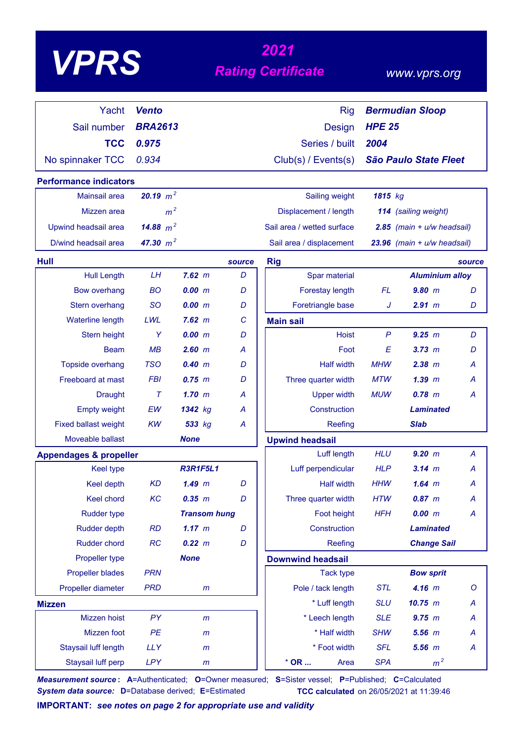| VPE |
|-----|
|-----|

# *<sup>2021</sup> VPRS Rating Certificate*

### *www.vprs.org*

| Yacht                             | <b>Vento</b>   |                     |        | <b>Rig</b>                 |               | <b>Bermudian Sloop</b>         |         |
|-----------------------------------|----------------|---------------------|--------|----------------------------|---------------|--------------------------------|---------|
| Sail number                       | <b>BRA2613</b> |                     |        | Design                     | <b>HPE 25</b> |                                |         |
| <b>TCC</b>                        | 0.975          |                     |        | Series / built             | 2004          |                                |         |
| No spinnaker TCC                  | 0.934          |                     |        | Club(s) / Events(s)        |               | <b>São Paulo State Fleet</b>   |         |
| <b>Performance indicators</b>     |                |                     |        |                            |               |                                |         |
| <b>Mainsail area</b>              | 20.19 $m^2$    |                     |        | Sailing weight             | 1815 kg       |                                |         |
| Mizzen area                       | m <sup>2</sup> |                     |        | Displacement / length      |               | 114 (sailing weight)           |         |
| Upwind headsail area              | 14.88 $m^2$    |                     |        | Sail area / wetted surface |               | $2.85$ (main + $u/w$ headsail) |         |
| D/wind headsail area              | 47.30 $m^2$    |                     |        | Sail area / displacement   |               | 23.96 (main + u/w headsail)    |         |
| Hull                              |                |                     | source | <b>Rig</b>                 |               |                                | source  |
| <b>Hull Length</b>                | LH             | $7.62 \text{ m}$    | D      | Spar material              |               | <b>Aluminium alloy</b>         |         |
| <b>Bow overhang</b>               | <b>BO</b>      | 0.00 m              | D      | Forestay length            | FL            | $9.80$ m                       | D       |
| Stern overhang                    | <b>SO</b>      | 0.00 m              | D      | Foretriangle base          | J             | $2.91$ m                       | D       |
| <b>Waterline length</b>           | LWL            | $7.62 \, m$         | С      | <b>Main sail</b>           |               |                                |         |
| Stern height                      | Y              | 0.00 m              | D      | <b>Hoist</b>               | $\mathsf{P}$  | 9.25 m                         | D       |
| <b>Beam</b>                       | MB             | 2.60 m              | А      | Foot                       | E             | 3.73 m                         | D       |
| Topside overhang                  | <b>TSO</b>     | 0.40~m              | D      | <b>Half width</b>          | <b>MHW</b>    | $2.38$ $m$                     | А       |
| Freeboard at mast                 | <b>FBI</b>     | $0.75$ $m$          | D      | Three quarter width        | <b>MTW</b>    | $1.39$ $m$                     | Α       |
| <b>Draught</b>                    | $\tau$         | $1.70$ m            | A      | <b>Upper width</b>         | <b>MUW</b>    | $0.78$ m                       | A       |
| <b>Empty weight</b>               | EW             | 1342 kg             | A      | Construction               |               | <b>Laminated</b>               |         |
| <b>Fixed ballast weight</b>       | KW             | 533 kg              | Α      | Reefing                    |               | <b>Slab</b>                    |         |
| Moveable ballast                  |                | <b>None</b>         |        | <b>Upwind headsail</b>     |               |                                |         |
| <b>Appendages &amp; propeller</b> |                |                     |        | Luff length                | <b>HLU</b>    | 9.20 m                         | A       |
| <b>Keel type</b>                  |                | <b>R3R1F5L1</b>     |        | Luff perpendicular         | <b>HLP</b>    | $3.14 \; m$                    | A       |
| Keel depth                        | <b>KD</b>      | $1.49$ $m$          | D      | <b>Half width</b>          | <b>HHW</b>    | $1.64$ m                       | A       |
| Keel chord                        | KC             | 0.35 m              | D      | Three quarter width        | <b>HTW</b>    | $0.87$ $m$                     | A       |
| <b>Rudder type</b>                |                | <b>Transom hung</b> |        | Foot height                | <b>HFH</b>    | 0.00 m                         | A       |
| <b>Rudder depth</b>               | RD             | 1.17 m              | D      | Construction               |               | <b>Laminated</b>               |         |
| Rudder chord                      | RC             | 0.22 m              | D      | Reefing                    |               | <b>Change Sail</b>             |         |
| Propeller type                    |                | <b>None</b>         |        | <b>Downwind headsail</b>   |               |                                |         |
| <b>Propeller blades</b>           | <b>PRN</b>     |                     |        | <b>Tack type</b>           |               | <b>Bow sprit</b>               |         |
| Propeller diameter                | <b>PRD</b>     | m                   |        | Pole / tack length         | <b>STL</b>    | $4.16$ m                       | $\circ$ |
| <b>Mizzen</b>                     |                |                     |        | * Luff length              | <b>SLU</b>    | 10.75 m                        | A       |
| Mizzen hoist                      | PY             | m                   |        | * Leech length             | <b>SLE</b>    | 9.75 m                         | A       |
| Mizzen foot                       | PE             | $\mathsf{m}$        |        | * Half width               | <b>SHW</b>    | $5.56$ $m$                     | A       |
| Staysail luff length              | <b>LLY</b>     | $\mathsf{m}$        |        | * Foot width               | <b>SFL</b>    | $5.56$ $m$                     | A       |
| Staysail luff perp                | <b>LPY</b>     | $\mathsf{m}$        |        | $*$ OR $\ldots$<br>Area    | <b>SPA</b>    | m <sup>2</sup>                 |         |

*Measurement source* **: A**=Authenticated; **O**=Owner measured; **S**=Sister vessel; **P**=Published; **C**=Calculated *System data source:* **D**=Database derived; **E**=Estimated **TCC calculated** on 26/05/2021 at 11:39:46

**IMPORTANT:** *see notes on page 2 for appropriate use and validity*